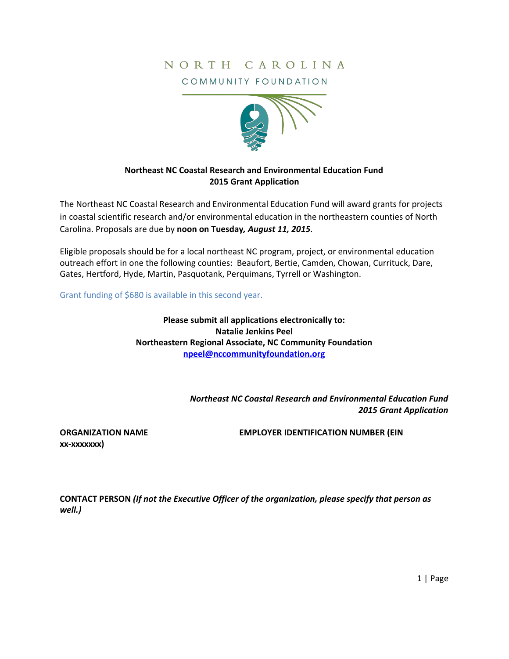# NORTH CAROLINA

COMMUNITY FOUNDATION



## **Northeast NC Coastal Research and Environmental Education Fund 2015 Grant Application**

The Northeast NC Coastal Research and Environmental Education Fund will award grants for projects in coastal scientific research and/or environmental education in the northeastern counties of North Carolina. Proposals are due by **noon on Tuesday***, August 11, 2015*.

Eligible proposals should be for a local northeast NC program, project, or environmental education outreach effort in one the following counties: Beaufort, Bertie, Camden, Chowan, Currituck, Dare, Gates, Hertford, Hyde, Martin, Pasquotank, Perquimans, Tyrrell or Washington.

Grant funding of \$680 is available in this second year.

**Please submit all applications electronically to: Natalie Jenkins Peel Northeastern Regional Associate, NC Community Foundation [npeel@nccommunityfoundation.org](mailto:npeel@nccommunityfoundation.org)**

> *Northeast NC Coastal Research and Environmental Education Fund 2015 Grant Application*

**xx-xxxxxxx)**

**ORGANIZATION NAME EMPLOYER IDENTIFICATION NUMBER (EIN**

**CONTACT PERSON** *(If not the Executive Officer of the organization, please specify that person as well.)*

1 | Page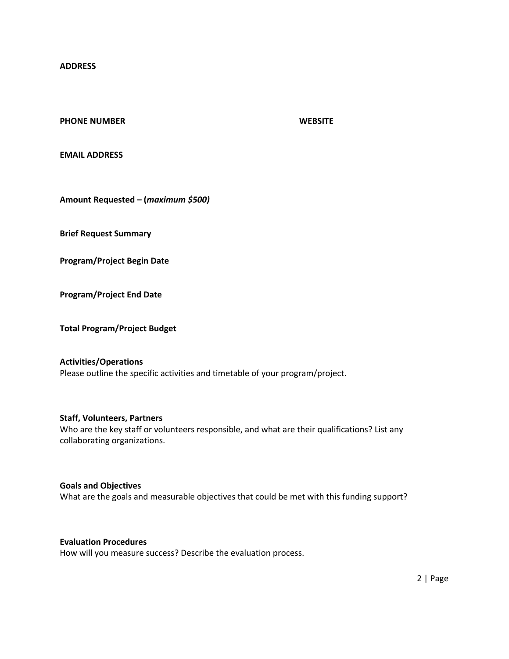**ADDRESS**

#### **PHONE NUMBER WEBSITE**

**EMAIL ADDRESS**

**Amount Requested – (***maximum \$500)*

**Brief Request Summary**

**Program/Project Begin Date**

**Program/Project End Date**

**Total Program/Project Budget**

#### **Activities/Operations**

Please outline the specific activities and timetable of your program/project.

#### **Staff, Volunteers, Partners**

Who are the key staff or volunteers responsible, and what are their qualifications? List any collaborating organizations.

#### **Goals and Objectives**

What are the goals and measurable objectives that could be met with this funding support?

### **Evaluation Procedures**

How will you measure success? Describe the evaluation process.